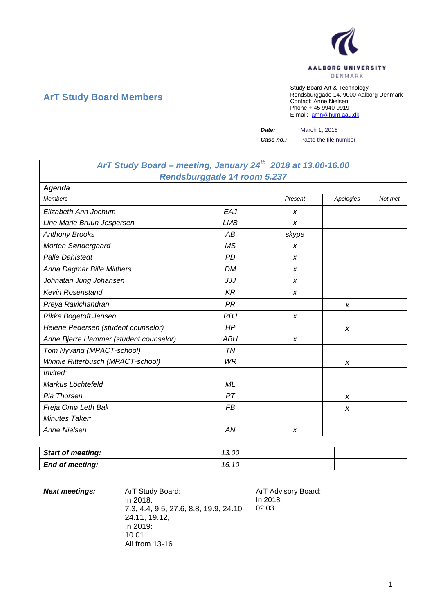

# **ArT Study Board Members**

Study Board Art & Technology Rendsburggade 14, 9000 Aalborg Denmark Contact: Anne Nielsen Phone + 45 9940 9919 E-mail: [amn@hum.aau.dk](mailto:amn@hum.aau.dk)

*Date:* March 1, 2018

**Case no.:** Paste the file number

# *ArT Study Board – meeting, January 24th 2018 at 13.00-16.00 Rendsburggade 14 room 5.237*

| Agenda                                 |            |         |           |         |
|----------------------------------------|------------|---------|-----------|---------|
| <b>Members</b>                         |            | Present | Apologies | Not met |
| Elizabeth Ann Jochum                   | EAJ        | X       |           |         |
| Line Marie Bruun Jespersen             | <b>LMB</b> | X       |           |         |
| <b>Anthony Brooks</b>                  | AB         | skype   |           |         |
| Morten Søndergaard                     | <b>MS</b>  | X       |           |         |
| <b>Palle Dahlstedt</b>                 | <b>PD</b>  | X       |           |         |
| Anna Dagmar Bille Milthers             | <b>DM</b>  | X       |           |         |
| Johnatan Jung Johansen                 | JJJ        | X       |           |         |
| <b>Kevin Rosenstand</b>                | <b>KR</b>  | X       |           |         |
| Preya Ravichandran                     | <b>PR</b>  |         | X         |         |
| Rikke Bogetoft Jensen                  | <b>RBJ</b> | X       |           |         |
| Helene Pedersen (student counselor)    | HP         |         | X         |         |
| Anne Bjerre Hammer (student counselor) | ABH        | X       |           |         |
| Tom Nyvang (MPACT-school)              | ΤN         |         |           |         |
| Winnie Ritterbusch (MPACT-school)      | <b>WR</b>  |         | X         |         |
| Invited:                               |            |         |           |         |
| Markus Löchtefeld                      | ML         |         |           |         |
| Pia Thorsen                            | PT         |         | X         |         |
| Freja Omø Leth Bak                     | <b>FB</b>  |         | X         |         |
| Minutes Taker:                         |            |         |           |         |
| Anne Nielsen                           | AN         | X       |           |         |

| <b>Start of meeting:</b> | 13.00 |  |  |
|--------------------------|-------|--|--|
| <b>End of meeting:</b>   | 16.10 |  |  |

**Next meetings:** ArT Study Board: ArT Advisory Board: In 2018: 7.3, 4.4, 9.5, 27.6, 8.8, 19.9, 24.10, 24.11, 19.12, In 2019: 10.01. All from 13-16.

In 2018: 02.03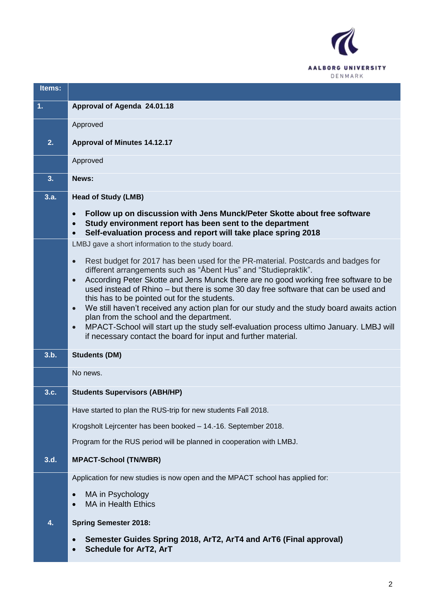

| Items:         |                                                                                                                                                                                                                                                                      |
|----------------|----------------------------------------------------------------------------------------------------------------------------------------------------------------------------------------------------------------------------------------------------------------------|
| $\mathbf{1}$ . | Approval of Agenda 24.01.18                                                                                                                                                                                                                                          |
|                | Approved                                                                                                                                                                                                                                                             |
| 2.             | <b>Approval of Minutes 14.12.17</b>                                                                                                                                                                                                                                  |
|                | Approved                                                                                                                                                                                                                                                             |
| 3.             | News:                                                                                                                                                                                                                                                                |
| 3.a.           | <b>Head of Study (LMB)</b>                                                                                                                                                                                                                                           |
|                | Follow up on discussion with Jens Munck/Peter Skotte about free software<br>$\bullet$<br>Study environment report has been sent to the department<br>$\bullet$<br>Self-evaluation process and report will take place spring 2018<br>$\bullet$                        |
|                | LMBJ gave a short information to the study board.                                                                                                                                                                                                                    |
|                | Rest budget for 2017 has been used for the PR-material. Postcards and badges for<br>$\bullet$<br>different arrangements such as "Åbent Hus" and "Studiepraktik".<br>According Peter Skotte and Jens Munck there are no good working free software to be<br>$\bullet$ |
|                | used instead of Rhino - but there is some 30 day free software that can be used and<br>this has to be pointed out for the students.                                                                                                                                  |
|                | We still haven't received any action plan for our study and the study board awaits action<br>$\bullet$<br>plan from the school and the department.                                                                                                                   |
|                | MPACT-School will start up the study self-evaluation process ultimo January. LMBJ will<br>$\bullet$<br>if necessary contact the board for input and further material.                                                                                                |
| 3.b.           | <b>Students (DM)</b>                                                                                                                                                                                                                                                 |
|                | No news.                                                                                                                                                                                                                                                             |
| 3.c.           | <b>Students Supervisors (ABH/HP)</b>                                                                                                                                                                                                                                 |
|                | Have started to plan the RUS-trip for new students Fall 2018.                                                                                                                                                                                                        |
|                | Krogsholt Lejrcenter has been booked - 14.-16. September 2018.                                                                                                                                                                                                       |
|                | Program for the RUS period will be planned in cooperation with LMBJ.                                                                                                                                                                                                 |
| 3.d.           | <b>MPACT-School (TN/WBR)</b>                                                                                                                                                                                                                                         |
|                | Application for new studies is now open and the MPACT school has applied for:                                                                                                                                                                                        |
|                | MA in Psychology<br><b>MA in Health Ethics</b><br>$\bullet$                                                                                                                                                                                                          |
| 4.             | <b>Spring Semester 2018:</b>                                                                                                                                                                                                                                         |
|                | Semester Guides Spring 2018, ArT2, ArT4 and ArT6 (Final approval)<br><b>Schedule for ArT2, ArT</b>                                                                                                                                                                   |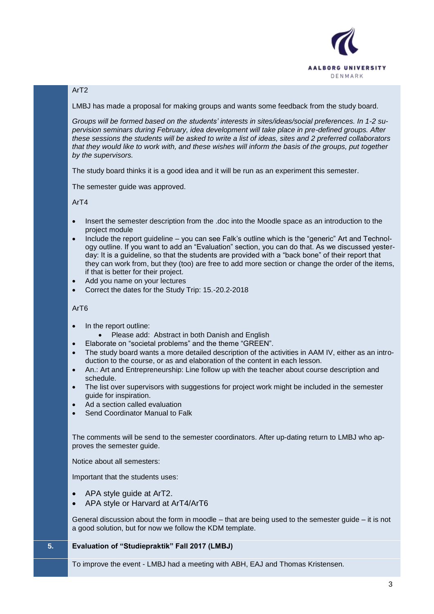

## ArT2

LMBJ has made a proposal for making groups and wants some feedback from the study board.

*Groups will be formed based on the students' interests in sites/ideas/social preferences. In 1-2 supervision seminars during February, idea development will take place in pre-defined groups. After these sessions the students will be asked to write a list of ideas, sites and 2 preferred collaborators that they would like to work with, and these wishes will inform the basis of the groups, put together by the supervisors.*

The study board thinks it is a good idea and it will be run as an experiment this semester.

The semester guide was approved.

ArT4

- Insert the semester description from the .doc into the Moodle space as an introduction to the project module
- Include the report guideline you can see Falk's outline which is the "generic" Art and Technology outline. If you want to add an "Evaluation" section, you can do that. As we discussed yesterday: It is a guideline, so that the students are provided with a "back bone" of their report that they can work from, but they (too) are free to add more section or change the order of the items, if that is better for their project.
- Add you name on your lectures
- Correct the dates for the Study Trip: 15.-20.2-2018

#### ArT6

- In the report outline:
	- Please add: Abstract in both Danish and English
	- Elaborate on "societal problems" and the theme "GREEN".
- The study board wants a more detailed description of the activities in AAM IV, either as an introduction to the course, or as and elaboration of the content in each lesson.
- An.: Art and Entrepreneurship: Line follow up with the teacher about course description and schedule.
- The list over supervisors with suggestions for project work might be included in the semester guide for inspiration.
- Ad a section called evaluation
- Send Coordinator Manual to Falk

The comments will be send to the semester coordinators. After up-dating return to LMBJ who approves the semester guide.

Notice about all semesters:

Important that the students uses:

- APA style guide at ArT2.
- APA style or Harvard at ArT4/ArT6

General discussion about the form in moodle – that are being used to the semester guide – it is not a good solution, but for now we follow the KDM template.

### **5. Evaluation of "Studiepraktik" Fall 2017 (LMBJ)**

To improve the event - LMBJ had a meeting with ABH, EAJ and Thomas Kristensen.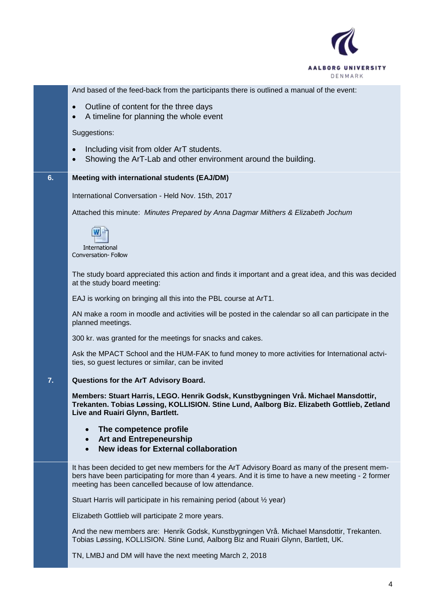

And based of the feed-back from the participants there is outlined a manual of the event:

- Outline of content for the three days
- A timeline for planning the whole event

Suggestions:

- Including visit from older ArT students.
- Showing the ArT-Lab and other environment around the building.

#### **6. Meeting with international students (EAJ/DM)**

International Conversation - Held Nov. 15th, 2017

Attached this minute: *Minutes Prepared by Anna Dagmar Milthers & Elizabeth Jochum*



International Conversation- Follow

The study board appreciated this action and finds it important and a great idea, and this was decided at the study board meeting:

EAJ is working on bringing all this into the PBL course at ArT1.

AN make a room in moodle and activities will be posted in the calendar so all can participate in the planned meetings.

300 kr. was granted for the meetings for snacks and cakes.

Ask the MPACT School and the HUM-FAK to fund money to more activities for International actvities, so guest lectures or similar, can be invited

#### **7. Questions for the ArT Advisory Board.**

**Members: Stuart Harris, LEGO. Henrik Godsk, Kunstbygningen Vrå. Michael Mansdottir, Trekanten. Tobias Løssing, KOLLISION. Stine Lund, Aalborg Biz. Elizabeth Gottlieb, Zetland Live and Ruairi Glynn, Bartlett.**

- **The competence profile**
- **Art and Entrepeneurship**
- **New ideas for External collaboration**

It has been decided to get new members for the ArT Advisory Board as many of the present members have been participating for more than 4 years. And it is time to have a new meeting - 2 former meeting has been cancelled because of low attendance.

Stuart Harris will participate in his remaining period (about ½ year)

Elizabeth Gottlieb will participate 2 more years.

And the new members are: Henrik Godsk, Kunstbygningen Vrå. Michael Mansdottir, Trekanten. Tobias Løssing, KOLLISION. Stine Lund, Aalborg Biz and Ruairi Glynn, Bartlett, UK.

TN, LMBJ and DM will have the next meeting March 2, 2018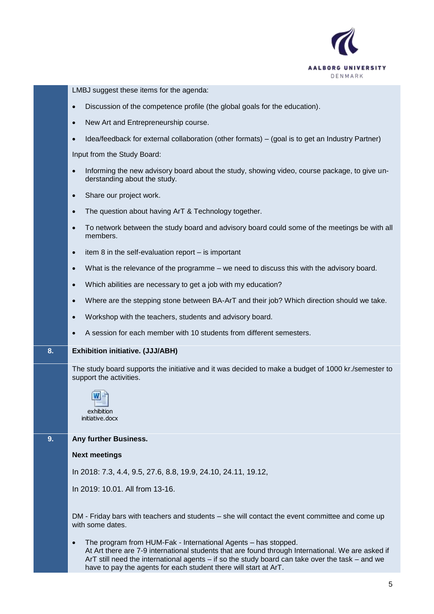

LMBJ suggest these items for the agenda:

- Discussion of the competence profile (the global goals for the education).
- New Art and Entrepreneurship course.
- Idea/feedback for external collaboration (other formats) (goal is to get an Industry Partner)

Input from the Study Board:

- Informing the new advisory board about the study, showing video, course package, to give understanding about the study.
- Share our project work.
- The question about having ArT & Technology together.
- To network between the study board and advisory board could some of the meetings be with all members.
- $\bullet$  item 8 in the self-evaluation report is important
- What is the relevance of the programme we need to discuss this with the advisory board.
- Which abilities are necessary to get a job with my education?
- Where are the stepping stone between BA-ArT and their job? Which direction should we take.
- Workshop with the teachers, students and advisory board.
- A session for each member with 10 students from different semesters.

#### **8. Exhibition initiative. (JJJ/ABH)**

The study board supports the initiative and it was decided to make a budget of 1000 kr./semester to support the activities.



## **9. Any further Business.**

#### **Next meetings**

In 2018: 7.3, 4.4, 9.5, 27.6, 8.8, 19.9, 24.10, 24.11, 19.12,

In 2019: 10.01. All from 13-16.

DM - Friday bars with teachers and students – she will contact the event committee and come up with some dates.

 The program from HUM-Fak - International Agents – has stopped. At Art there are 7-9 international students that are found through International. We are asked if ArT still need the international agents – if so the study board can take over the task – and we have to pay the agents for each student there will start at ArT.